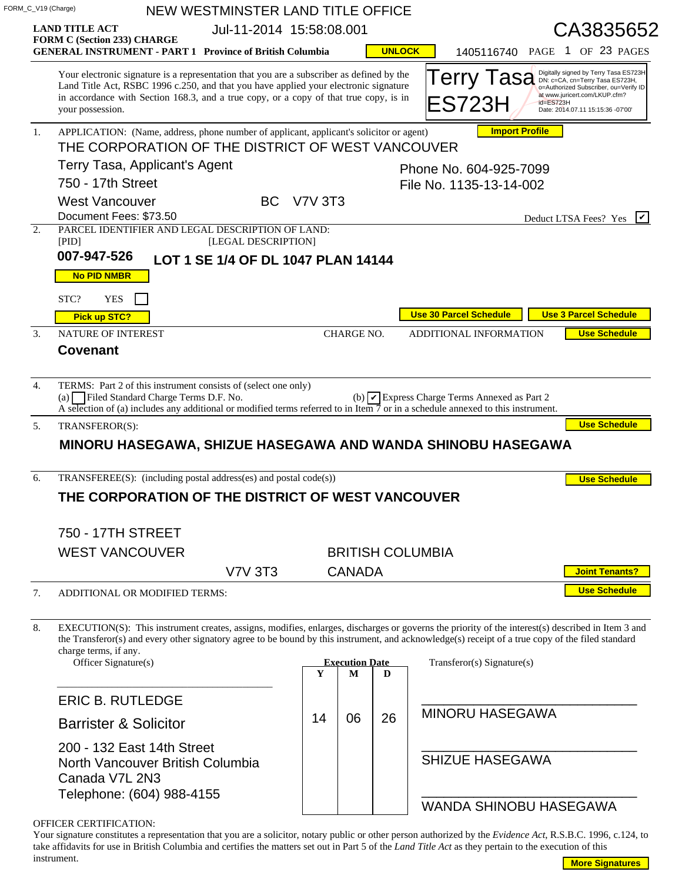|                  | FORM_C_V19 (Charge)                                                                                                                                                                                                                                                                                                      |  |                                    | NEW WESTMINSTER LAND TITLE OFFICE |                          |                       |               |                         |                               |                       |           |  |                                                                                                                                                                                         |
|------------------|--------------------------------------------------------------------------------------------------------------------------------------------------------------------------------------------------------------------------------------------------------------------------------------------------------------------------|--|------------------------------------|-----------------------------------|--------------------------|-----------------------|---------------|-------------------------|-------------------------------|-----------------------|-----------|--|-----------------------------------------------------------------------------------------------------------------------------------------------------------------------------------------|
|                  | <b>LAND TITLE ACT</b>                                                                                                                                                                                                                                                                                                    |  |                                    |                                   | Jul-11-2014 15:58:08.001 |                       |               |                         |                               |                       |           |  | CA3835652                                                                                                                                                                               |
|                  | FORM C (Section 233) CHARGE<br><b>GENERAL INSTRUMENT - PART 1 Province of British Columbia</b>                                                                                                                                                                                                                           |  |                                    |                                   |                          |                       | <b>UNLOCK</b> |                         |                               |                       |           |  | 1405116740 PAGE 1 OF 23 PAGES                                                                                                                                                           |
|                  | Your electronic signature is a representation that you are a subscriber as defined by the<br>Land Title Act, RSBC 1996 c.250, and that you have applied your electronic signature<br>in accordance with Section 168.3, and a true copy, or a copy of that true copy, is in<br>your possession.                           |  |                                    |                                   |                          |                       |               |                         | Terry lasa<br>ES723H          |                       | id=ES723H |  | Digitally signed by Terry Tasa ES723H<br>DN: c=CA, cn=Terry Tasa ES723H,<br>o=Authorized Subscriber, ou=Verify ID<br>at www.juricert.com/LKUP.cfm?<br>Date: 2014.07.11 15:15:36 -07'00' |
| $\mathbf{1}$ .   | APPLICATION: (Name, address, phone number of applicant, applicant's solicitor or agent)                                                                                                                                                                                                                                  |  |                                    |                                   |                          |                       |               |                         |                               | <b>Import Profile</b> |           |  |                                                                                                                                                                                         |
|                  | THE CORPORATION OF THE DISTRICT OF WEST VANCOUVER                                                                                                                                                                                                                                                                        |  |                                    |                                   |                          |                       |               |                         |                               |                       |           |  |                                                                                                                                                                                         |
|                  | Terry Tasa, Applicant's Agent                                                                                                                                                                                                                                                                                            |  | Phone No. 604-925-7099             |                                   |                          |                       |               |                         |                               |                       |           |  |                                                                                                                                                                                         |
|                  | 750 - 17th Street<br>File No. 1135-13-14-002<br><b>West Vancouver</b><br><b>BC</b> V7V 3T3                                                                                                                                                                                                                               |  |                                    |                                   |                          |                       |               |                         |                               |                       |           |  |                                                                                                                                                                                         |
|                  | Document Fees: \$73.50                                                                                                                                                                                                                                                                                                   |  |                                    |                                   |                          |                       |               |                         |                               |                       |           |  | Deduct LTSA Fees? Yes                                                                                                                                                                   |
| 2.               | PARCEL IDENTIFIER AND LEGAL DESCRIPTION OF LAND:<br>[PID]                                                                                                                                                                                                                                                                |  | [LEGAL DESCRIPTION]                |                                   |                          |                       |               |                         |                               |                       |           |  |                                                                                                                                                                                         |
|                  | 007-947-526                                                                                                                                                                                                                                                                                                              |  | LOT 1 SE 1/4 OF DL 1047 PLAN 14144 |                                   |                          |                       |               |                         |                               |                       |           |  |                                                                                                                                                                                         |
|                  | <b>No PID NMBR</b>                                                                                                                                                                                                                                                                                                       |  |                                    |                                   |                          |                       |               |                         |                               |                       |           |  |                                                                                                                                                                                         |
|                  | STC?<br><b>YES</b>                                                                                                                                                                                                                                                                                                       |  |                                    |                                   |                          |                       |               |                         |                               |                       |           |  |                                                                                                                                                                                         |
|                  | Pick up STC?                                                                                                                                                                                                                                                                                                             |  |                                    |                                   |                          |                       |               |                         | <b>Use 30 Parcel Schedule</b> |                       |           |  | <b>Use 3 Parcel Schedule</b>                                                                                                                                                            |
| $\overline{3}$ . | NATURE OF INTEREST                                                                                                                                                                                                                                                                                                       |  |                                    |                                   |                          | CHARGE NO.            |               |                         | ADDITIONAL INFORMATION        |                       |           |  | <b>Use Schedule</b>                                                                                                                                                                     |
|                  | <b>Covenant</b>                                                                                                                                                                                                                                                                                                          |  |                                    |                                   |                          |                       |               |                         |                               |                       |           |  |                                                                                                                                                                                         |
| 4.               | TERMS: Part 2 of this instrument consists of (select one only)<br>(a) Filed Standard Charge Terms D.F. No.<br>(b) $\triangledown$ Express Charge Terms Annexed as Part 2<br>A selection of (a) includes any additional or modified terms referred to in Item $\overline{7}$ or in a schedule annexed to this instrument. |  |                                    |                                   |                          |                       |               |                         |                               |                       |           |  |                                                                                                                                                                                         |
|                  |                                                                                                                                                                                                                                                                                                                          |  |                                    |                                   |                          |                       |               |                         |                               |                       |           |  |                                                                                                                                                                                         |
| 5.               | TRANSFEROR(S):                                                                                                                                                                                                                                                                                                           |  |                                    |                                   |                          |                       |               |                         |                               |                       |           |  | <b>Use Schedule</b>                                                                                                                                                                     |
|                  | MINORU HASEGAWA, SHIZUE HASEGAWA AND WANDA SHINOBU HASEGAWA                                                                                                                                                                                                                                                              |  |                                    |                                   |                          |                       |               |                         |                               |                       |           |  |                                                                                                                                                                                         |
|                  |                                                                                                                                                                                                                                                                                                                          |  |                                    |                                   |                          |                       |               |                         |                               |                       |           |  |                                                                                                                                                                                         |
| 6.               | TRANSFEREE(S): (including postal address(es) and postal code(s))                                                                                                                                                                                                                                                         |  |                                    |                                   |                          |                       |               |                         |                               |                       |           |  | <b>Use Schedule</b>                                                                                                                                                                     |
|                  | THE CORPORATION OF THE DISTRICT OF WEST VANCOUVER                                                                                                                                                                                                                                                                        |  |                                    |                                   |                          |                       |               |                         |                               |                       |           |  |                                                                                                                                                                                         |
|                  | 750 - 17TH STREET                                                                                                                                                                                                                                                                                                        |  |                                    |                                   |                          |                       |               |                         |                               |                       |           |  |                                                                                                                                                                                         |
|                  | <b>WEST VANCOUVER</b>                                                                                                                                                                                                                                                                                                    |  |                                    |                                   |                          |                       |               | <b>BRITISH COLUMBIA</b> |                               |                       |           |  |                                                                                                                                                                                         |
|                  |                                                                                                                                                                                                                                                                                                                          |  | <b>V7V 3T3</b>                     |                                   |                          | <b>CANADA</b>         |               |                         |                               |                       |           |  | <b>Joint Tenants?</b>                                                                                                                                                                   |
|                  | ADDITIONAL OR MODIFIED TERMS:                                                                                                                                                                                                                                                                                            |  |                                    |                                   |                          |                       |               |                         |                               |                       |           |  | <b>Use Schedule</b>                                                                                                                                                                     |
| 7.               |                                                                                                                                                                                                                                                                                                                          |  |                                    |                                   |                          |                       |               |                         |                               |                       |           |  |                                                                                                                                                                                         |
|                  | EXECUTION(S): This instrument creates, assigns, modifies, enlarges, discharges or governs the priority of the interest(s) described in Item 3 and<br>the Transferor(s) and every other signatory agree to be bound by this instrument, and acknowledge(s) receipt of a true copy of the filed standard                   |  |                                    |                                   |                          |                       |               |                         |                               |                       |           |  |                                                                                                                                                                                         |
|                  | charge terms, if any.<br>Officer Signature(s)                                                                                                                                                                                                                                                                            |  |                                    |                                   |                          | <b>Execution Date</b> |               |                         | Transferor(s) Signature(s)    |                       |           |  |                                                                                                                                                                                         |
|                  |                                                                                                                                                                                                                                                                                                                          |  |                                    |                                   | Y                        | М                     | D             |                         |                               |                       |           |  |                                                                                                                                                                                         |
|                  | <b>ERIC B. RUTLEDGE</b>                                                                                                                                                                                                                                                                                                  |  |                                    |                                   |                          |                       |               |                         |                               |                       |           |  |                                                                                                                                                                                         |
|                  | <b>Barrister &amp; Solicitor</b>                                                                                                                                                                                                                                                                                         |  |                                    |                                   | 14                       | 06                    | 26            |                         | <b>MINORU HASEGAWA</b>        |                       |           |  |                                                                                                                                                                                         |
|                  | 200 - 132 East 14th Street<br>North Vancouver British Columbia<br>Canada V7L 2N3                                                                                                                                                                                                                                         |  |                                    |                                   |                          |                       |               |                         | <b>SHIZUE HASEGAWA</b>        |                       |           |  |                                                                                                                                                                                         |
| 8.               | Telephone: (604) 988-4155                                                                                                                                                                                                                                                                                                |  |                                    |                                   |                          |                       |               |                         |                               |                       |           |  | <b>WANDA SHINOBU HASEGAWA</b>                                                                                                                                                           |

|  | <b>OFFICER CERTIFICATION:</b> |
|--|-------------------------------|
|--|-------------------------------|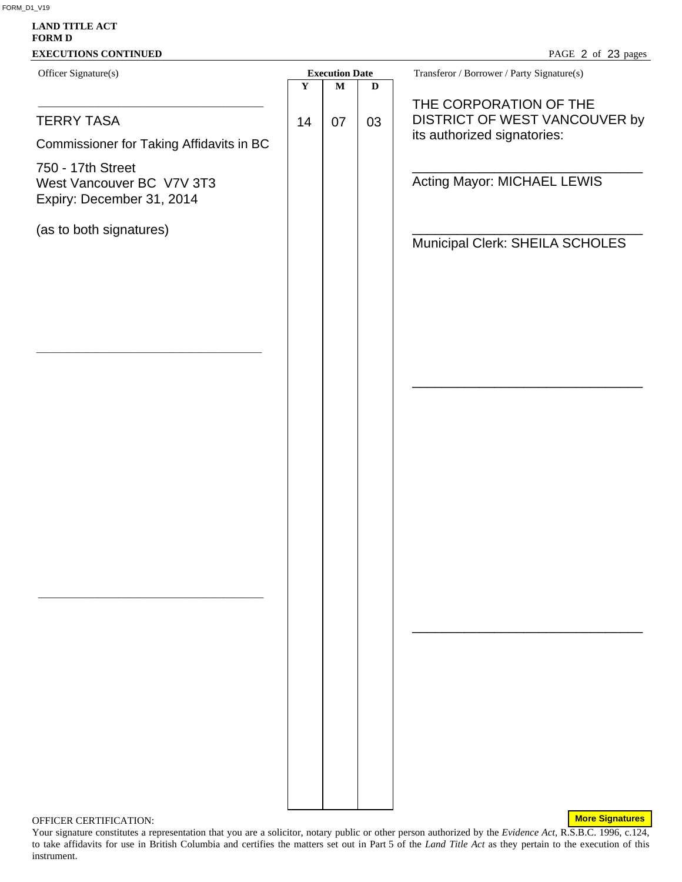# **LAND TITLE ACT FORM D EXECUTIONS CONTINUED** Officer Signature(s) **Execution Date** Transferor / Borrower / Party Signature(s) \_\_\_\_\_\_\_\_\_\_\_\_\_\_\_\_\_\_\_\_\_\_\_\_\_\_\_\_\_\_\_\_\_\_\_\_\_\_\_\_\_\_\_\_\_ \_\_\_\_\_\_\_\_\_\_\_\_\_\_\_\_\_\_\_\_\_\_\_\_\_\_\_\_\_\_\_\_\_\_\_\_\_\_\_\_\_\_\_\_\_ \_\_\_\_\_\_\_\_\_\_\_\_\_\_\_\_\_\_\_\_\_\_\_\_\_\_\_\_\_\_\_\_\_\_\_\_\_\_\_\_\_\_\_\_\_ **Y M D**  PAGE 2 of 23 pages TERRY TASA Commissioner for Taking Affidavits in BC 750 - 17th Street West Vancouver BC V7V 3T3 Expiry: December 31, 2014 (as to both signatures)  $14 \mid 07 \mid 03$ THE CORPORATION OF THE DISTRICT OF WEST VANCOUVER by its authorized signatories: \_\_\_\_\_\_\_\_\_\_\_\_\_\_\_\_\_\_\_\_\_\_\_\_\_\_\_\_\_\_\_ Acting Mayor: MICHAEL LEWIS \_\_\_\_\_\_\_\_\_\_\_\_\_\_\_\_\_\_\_\_\_\_\_\_\_\_\_\_\_\_\_ Municipal Clerk: SHEILA SCHOLES \_\_\_\_\_\_\_\_\_\_\_\_\_\_\_\_\_\_\_\_\_\_\_\_\_\_\_\_\_\_\_ \_\_\_\_\_\_\_\_\_\_\_\_\_\_\_\_\_\_\_\_\_\_\_\_\_\_\_\_\_\_\_

#### OFFICER CERTIFICATION:

**More Signatures**

Your signature constitutes a representation that you are a solicitor, notary public or other person authorized by the *Evidence Act*, R.S.B.C. 1996, c.124, to take affidavits for use in British Columbia and certifies the matters set out in Part 5 of the *Land Title Act* as they pertain to the execution of this instrument.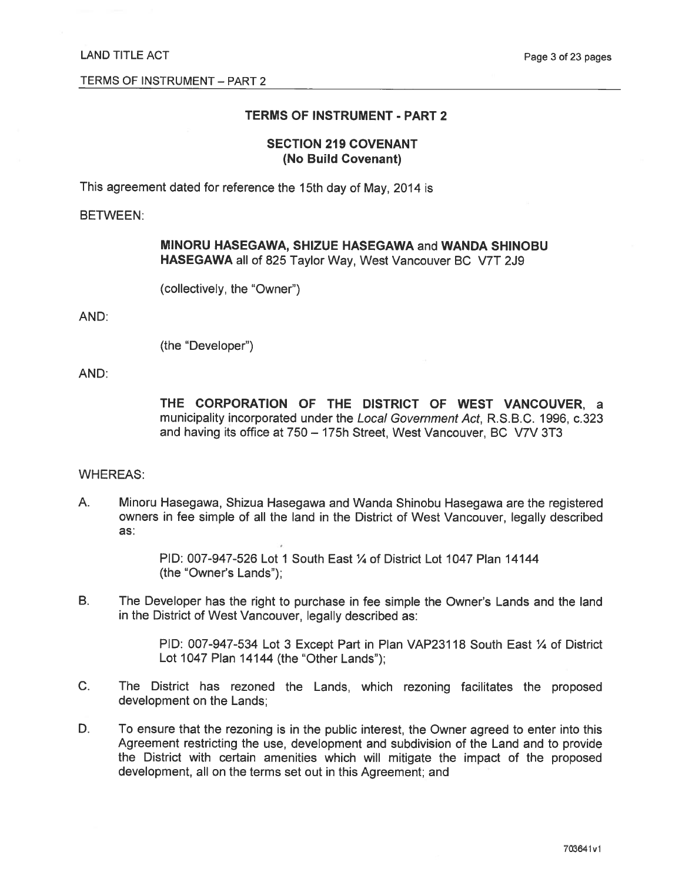# **TERMS OF INSTRUMENT - PART 2**

# **SECTION 219 COVENANT** (No Build Covenant)

This agreement dated for reference the 15th day of May, 2014 is

#### **BETWEEN:**

# MINORU HASEGAWA, SHIZUE HASEGAWA and WANDA SHINOBU HASEGAWA all of 825 Taylor Way, West Vancouver BC V7T 2J9

(collectively, the "Owner")

AND:

(the "Developer")

# AND:

THE CORPORATION OF THE DISTRICT OF WEST VANCOUVER, a municipality incorporated under the Local Government Act, R.S.B.C. 1996, c.323 and having its office at 750 - 175h Street, West Vancouver, BC V7V 3T3

#### **WHEREAS:**

A. Minoru Hasegawa, Shizua Hasegawa and Wanda Shinobu Hasegawa are the registered owners in fee simple of all the land in the District of West Vancouver, legally described as:

> PID: 007-947-526 Lot 1 South East 1/4 of District Lot 1047 Plan 14144 (the "Owner's Lands"):

**B.** The Developer has the right to purchase in fee simple the Owner's Lands and the land in the District of West Vancouver, legally described as:

> PID: 007-947-534 Lot 3 Except Part in Plan VAP23118 South East 1/4 of District Lot 1047 Plan 14144 (the "Other Lands");

- $C_{1}$ The District has rezoned the Lands, which rezoning facilitates the proposed development on the Lands;
- D. To ensure that the rezoning is in the public interest, the Owner agreed to enter into this Agreement restricting the use, development and subdivision of the Land and to provide the District with certain amenities which will mitigate the impact of the proposed development, all on the terms set out in this Agreement; and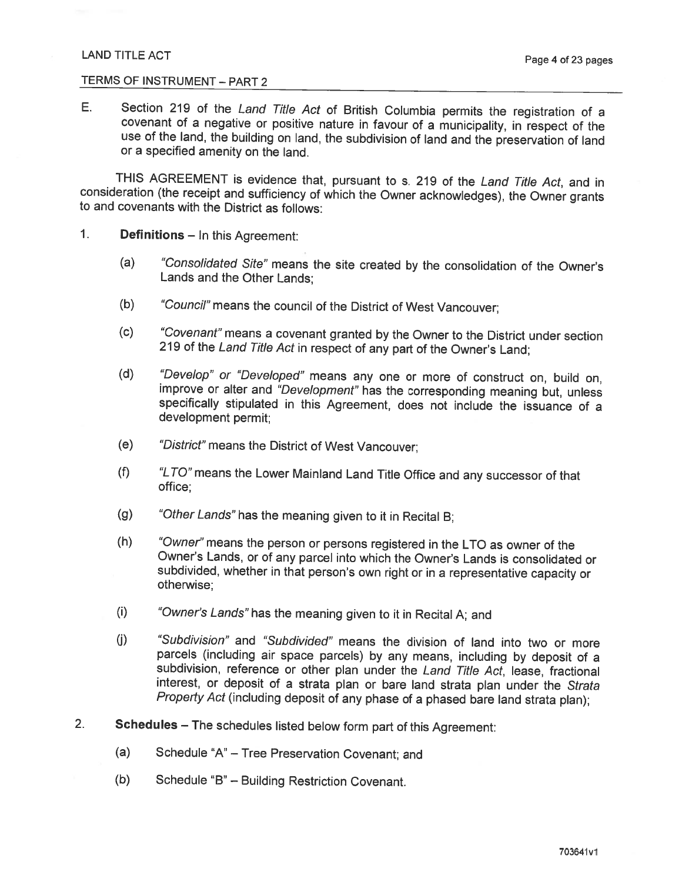# TERMS OF INSTRUMENT - PART 2

 $E_{\perp}$ Section 219 of the Land Title Act of British Columbia permits the registration of a covenant of a negative or positive nature in favour of a municipality, in respect of the use of the land, the building on land, the subdivision of land and the preservation of land or a specified amenity on the land.

THIS AGREEMENT is evidence that, pursuant to s. 219 of the Land Title Act, and in consideration (the receipt and sufficiency of which the Owner acknowledges), the Owner grants to and covenants with the District as follows:

- $1<sub>1</sub>$ **Definitions - In this Agreement:** 
	- "Consolidated Site" means the site created by the consolidation of the Owner's  $(a)$ Lands and the Other Lands:
	- "Council" means the council of the District of West Vancouver;  $(b)$
	- "Covenant" means a covenant granted by the Owner to the District under section  $(c)$ 219 of the Land Title Act in respect of any part of the Owner's Land;
	- $(d)$ "Develop" or "Developed" means any one or more of construct on, build on, improve or alter and "Development" has the corresponding meaning but, unless specifically stipulated in this Agreement, does not include the issuance of a development permit:
	- $(e)$ "District" means the District of West Vancouver;
	- "LTO" means the Lower Mainland Land Title Office and any successor of that  $(f)$ office:
	- $(g)$ "Other Lands" has the meaning given to it in Recital B;
	- $(h)$ "Owner" means the person or persons registered in the LTO as owner of the Owner's Lands, or of any parcel into which the Owner's Lands is consolidated or subdivided, whether in that person's own right or in a representative capacity or otherwise:
	- $(i)$ "Owner's Lands" has the meaning given to it in Recital A; and
	- $(i)$ "Subdivision" and "Subdivided" means the division of land into two or more parcels (including air space parcels) by any means, including by deposit of a subdivision, reference or other plan under the Land Title Act, lease, fractional interest, or deposit of a strata plan or bare land strata plan under the Strata Property Act (including deposit of any phase of a phased bare land strata plan);
- $2.$ Schedules - The schedules listed below form part of this Agreement:
	- $(a)$ Schedule "A" - Tree Preservation Covenant; and
	- $(b)$ Schedule "B" - Building Restriction Covenant.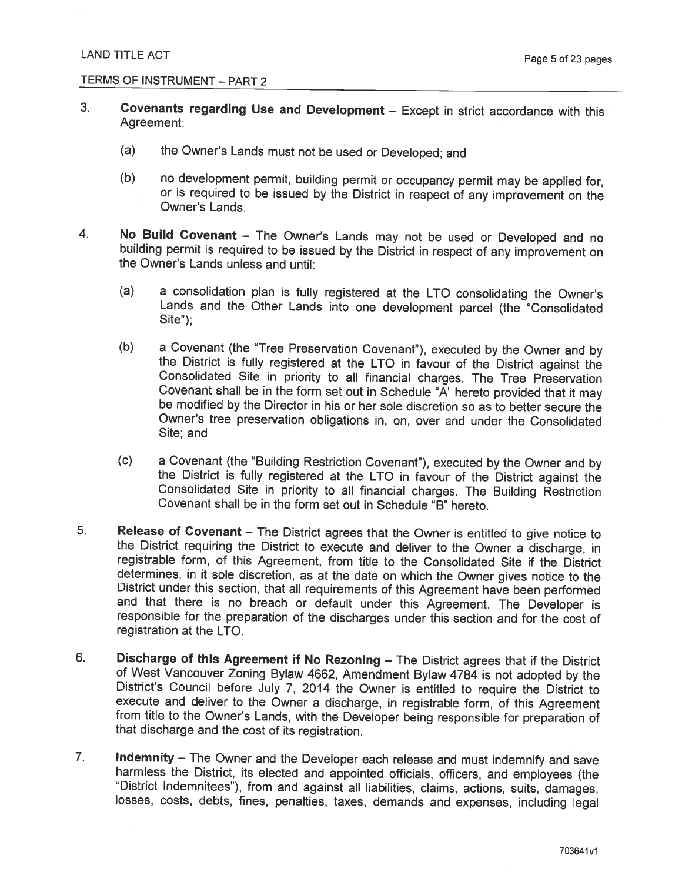- $3<sub>1</sub>$ Covenants regarding Use and Development - Except in strict accordance with this Agreement:
	- $(a)$ the Owner's Lands must not be used or Developed; and
	- $(b)$ no development permit, building permit or occupancy permit may be applied for, or is required to be issued by the District in respect of any improvement on the Owner's Lands.
- $4.$ No Build Covenant - The Owner's Lands may not be used or Developed and no building permit is required to be issued by the District in respect of any improvement on the Owner's Lands unless and until:
	- $(a)$ a consolidation plan is fully registered at the LTO consolidating the Owner's Lands and the Other Lands into one development parcel (the "Consolidated  $Site$ "):
	- $(b)$ a Covenant (the "Tree Preservation Covenant"), executed by the Owner and by the District is fully registered at the LTO in favour of the District against the Consolidated Site in priority to all financial charges. The Tree Preservation Covenant shall be in the form set out in Schedule "A" hereto provided that it may be modified by the Director in his or her sole discretion so as to better secure the Owner's tree preservation obligations in, on, over and under the Consolidated Site; and
	- $(c)$ a Covenant (the "Building Restriction Covenant"), executed by the Owner and by the District is fully registered at the LTO in favour of the District against the Consolidated Site in priority to all financial charges. The Building Restriction Covenant shall be in the form set out in Schedule "B" hereto.
- $5<sub>1</sub>$ Release of Covenant - The District agrees that the Owner is entitled to give notice to the District requiring the District to execute and deliver to the Owner a discharge, in registrable form, of this Agreement, from title to the Consolidated Site if the District determines, in it sole discretion, as at the date on which the Owner gives notice to the District under this section, that all requirements of this Agreement have been performed and that there is no breach or default under this Agreement. The Developer is responsible for the preparation of the discharges under this section and for the cost of registration at the LTO.
- 6. Discharge of this Agreement if No Rezoning - The District agrees that if the District of West Vancouver Zoning Bylaw 4662, Amendment Bylaw 4784 is not adopted by the District's Council before July 7, 2014 the Owner is entitled to require the District to execute and deliver to the Owner a discharge, in registrable form, of this Agreement from title to the Owner's Lands, with the Developer being responsible for preparation of that discharge and the cost of its registration.
- $7.$ Indemnity - The Owner and the Developer each release and must indemnify and save harmless the District, its elected and appointed officials, officers, and employees (the "District Indemnitees"), from and against all liabilities, claims, actions, suits, damages, losses, costs, debts, fines, penalties, taxes, demands and expenses, including legal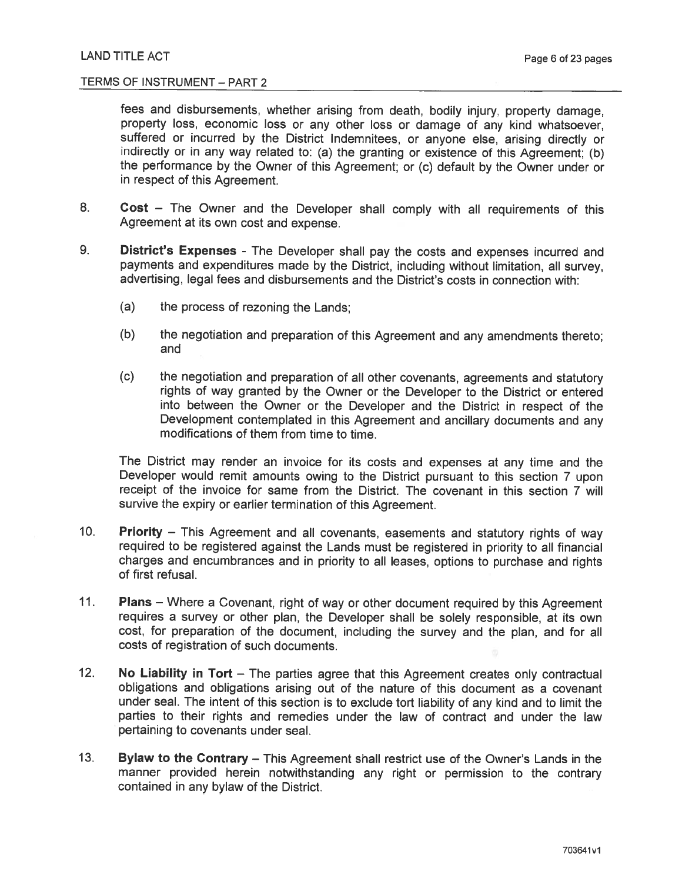fees and disbursements, whether arising from death, bodily injury, property damage, property loss, economic loss or any other loss or damage of any kind whatsoever, suffered or incurred by the District Indemnitees, or anyone else, arising directly or indirectly or in any way related to: (a) the granting or existence of this Agreement; (b) the performance by the Owner of this Agreement: or (c) default by the Owner under or in respect of this Agreement.

- Cost The Owner and the Developer shall comply with all requirements of this 8. Agreement at its own cost and expense.
- District's Expenses The Developer shall pay the costs and expenses incurred and 9. payments and expenditures made by the District, including without limitation, all survey. advertising, legal fees and disbursements and the District's costs in connection with:
	- $(a)$ the process of rezoning the Lands:
	- $(b)$ the negotiation and preparation of this Agreement and any amendments thereto; and
	- $(c)$ the negotiation and preparation of all other covenants, agreements and statutory rights of way granted by the Owner or the Developer to the District or entered into between the Owner or the Developer and the District in respect of the Development contemplated in this Agreement and ancillary documents and any modifications of them from time to time.

The District may render an invoice for its costs and expenses at any time and the Developer would remit amounts owing to the District pursuant to this section 7 upon receipt of the invoice for same from the District. The covenant in this section 7 will survive the expiry or earlier termination of this Agreement.

- $10<sub>1</sub>$ **Priority** – This Agreement and all covenants, easements and statutory rights of way required to be registered against the Lands must be registered in priority to all financial charges and encumbrances and in priority to all leases, options to purchase and rights of first refusal.
- $11.$ **Plans** – Where a Covenant, right of way or other document required by this Agreement requires a survey or other plan, the Developer shall be solely responsible, at its own cost, for preparation of the document, including the survey and the plan, and for all costs of registration of such documents.
- $12.$ No Liability in  $Tort$  – The parties agree that this Agreement creates only contractual obligations and obligations arising out of the nature of this document as a covenant under seal. The intent of this section is to exclude tort liability of any kind and to limit the parties to their rights and remedies under the law of contract and under the law pertaining to covenants under seal.
- $13.$ Bylaw to the Contrary - This Agreement shall restrict use of the Owner's Lands in the manner provided herein notwithstanding any right or permission to the contrary contained in any bylaw of the District.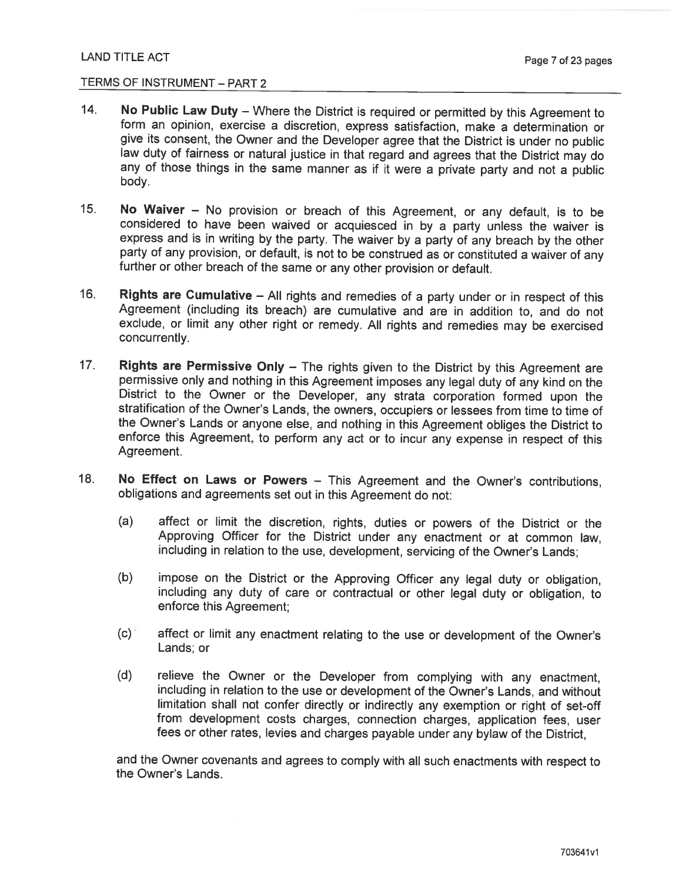- $14.$ No Public Law Duty - Where the District is required or permitted by this Agreement to form an opinion, exercise a discretion, express satisfaction, make a determination or give its consent, the Owner and the Developer agree that the District is under no public law duty of fairness or natural justice in that regard and agrees that the District may do any of those things in the same manner as if it were a private party and not a public body.
- $15.$ No Waiver - No provision or breach of this Agreement, or any default, is to be considered to have been waived or acquiesced in by a party unless the waiver is express and is in writing by the party. The waiver by a party of any breach by the other party of any provision, or default, is not to be construed as or constituted a waiver of any further or other breach of the same or any other provision or default.
- $16.$ Rights are Cumulative - All rights and remedies of a party under or in respect of this Agreement (including its breach) are cumulative and are in addition to, and do not exclude, or limit any other right or remedy. All rights and remedies may be exercised concurrently.
- $17<sub>1</sub>$ Rights are Permissive Only - The rights given to the District by this Agreement are permissive only and nothing in this Agreement imposes any legal duty of any kind on the District to the Owner or the Developer, any strata corporation formed upon the stratification of the Owner's Lands, the owners, occupiers or lessees from time to time of the Owner's Lands or anyone else, and nothing in this Agreement obliges the District to enforce this Agreement, to perform any act or to incur any expense in respect of this Agreement.
- $18.$ No Effect on Laws or Powers – This Agreement and the Owner's contributions. obligations and agreements set out in this Agreement do not:
	- $(a)$ affect or limit the discretion, rights, duties or powers of the District or the Approving Officer for the District under any enactment or at common law. including in relation to the use, development, servicing of the Owner's Lands;
	- $(b)$ impose on the District or the Approving Officer any legal duty or obligation, including any duty of care or contractual or other legal duty or obligation, to enforce this Agreement;
	- $(c)$ affect or limit any enactment relating to the use or development of the Owner's Lands; or
	- $(d)$ relieve the Owner or the Developer from complying with any enactment, including in relation to the use or development of the Owner's Lands, and without limitation shall not confer directly or indirectly any exemption or right of set-off from development costs charges, connection charges, application fees, user fees or other rates, levies and charges payable under any bylaw of the District,

and the Owner covenants and agrees to comply with all such enactments with respect to the Owner's Lands.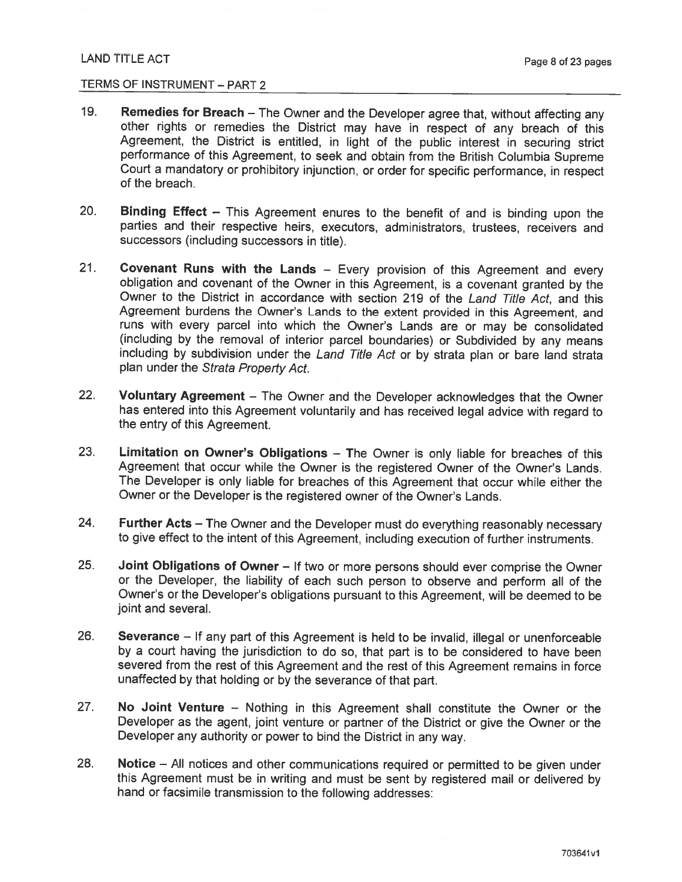- 19. Remedies for Breach - The Owner and the Developer agree that, without affecting any other rights or remedies the District may have in respect of any breach of this Agreement, the District is entitled, in light of the public interest in securing strict performance of this Agreement, to seek and obtain from the British Columbia Supreme Court a mandatory or prohibitory injunction, or order for specific performance, in respect of the breach
- $20.$ Binding Effect - This Agreement enures to the benefit of and is binding upon the parties and their respective heirs, executors, administrators, trustees, receivers and successors (including successors in title).
- $21.$ Covenant Runs with the Lands - Every provision of this Agreement and every obligation and covenant of the Owner in this Agreement, is a covenant granted by the Owner to the District in accordance with section 219 of the Land Title Act, and this Agreement burdens the Owner's Lands to the extent provided in this Agreement, and runs with every parcel into which the Owner's Lands are or may be consolidated (including by the removal of interior parcel boundaries) or Subdivided by any means including by subdivision under the Land Title Act or by strata plan or bare land strata plan under the Strata Property Act.
- $22.$ Voluntary Agreement - The Owner and the Developer acknowledges that the Owner has entered into this Agreement voluntarily and has received legal advice with regard to the entry of this Agreement.
- 23. Limitation on Owner's Obligations - The Owner is only liable for breaches of this Agreement that occur while the Owner is the registered Owner of the Owner's Lands. The Developer is only liable for breaches of this Agreement that occur while either the Owner or the Developer is the registered owner of the Owner's Lands.
- 24. Further Acts - The Owner and the Developer must do everything reasonably necessary to give effect to the intent of this Agreement, including execution of further instruments.
- 25. Joint Obligations of Owner - If two or more persons should ever comprise the Owner or the Developer, the liability of each such person to observe and perform all of the Owner's or the Developer's obligations pursuant to this Agreement, will be deemed to be joint and several.
- 26. Severance - If any part of this Agreement is held to be invalid, illegal or unenforceable by a court having the jurisdiction to do so, that part is to be considered to have been severed from the rest of this Agreement and the rest of this Agreement remains in force unaffected by that holding or by the severance of that part.
- $27.$ No Joint Venture – Nothing in this Agreement shall constitute the Owner or the Developer as the agent, joint venture or partner of the District or give the Owner or the Developer any authority or power to bind the District in any way.
- 28. Notice – All notices and other communications required or permitted to be given under this Agreement must be in writing and must be sent by registered mail or delivered by hand or facsimile transmission to the following addresses: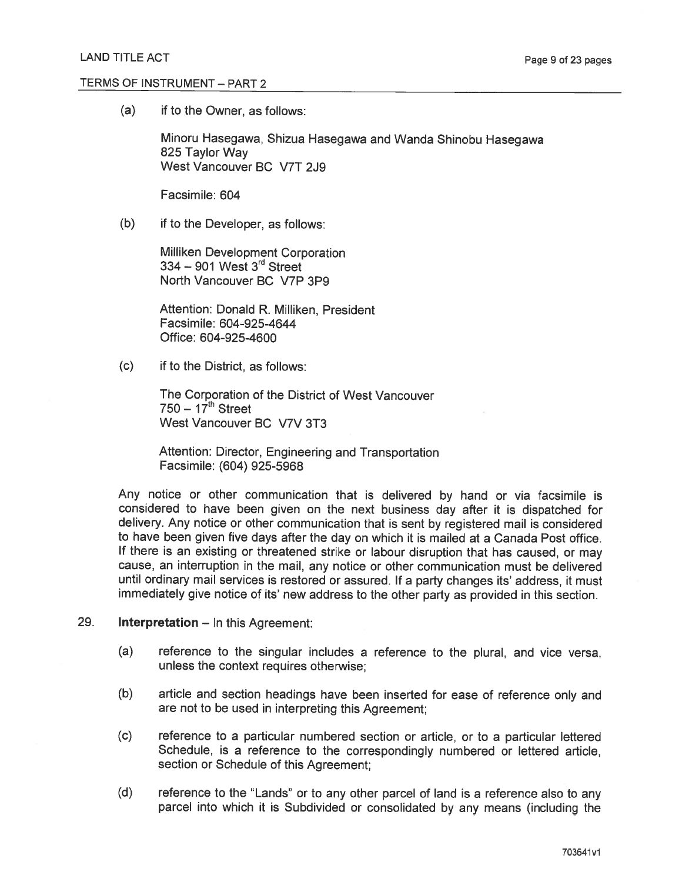$(a)$ if to the Owner, as follows:

> Minoru Hasegawa, Shizua Hasegawa and Wanda Shinobu Hasegawa 825 Taylor Way West Vancouver BC V7T 2J9

Facsimile: 604

 $(b)$ if to the Developer, as follows:

> Milliken Development Corporation  $334 - 901$  West  $3<sup>rd</sup>$  Street North Vancouver BC V7P 3P9

Attention: Donald R. Milliken, President Facsimile: 604-925-4644 Office: 604-925-4600

 $(c)$ if to the District, as follows:

> The Corporation of the District of West Vancouver  $750 - 17$ <sup>th</sup> Street West Vancouver BC V7V 3T3

Attention: Director, Engineering and Transportation Facsimile: (604) 925-5968

Any notice or other communication that is delivered by hand or via facsimile is considered to have been given on the next business day after it is dispatched for delivery. Any notice or other communication that is sent by registered mail is considered to have been given five days after the day on which it is mailed at a Canada Post office. If there is an existing or threatened strike or labour disruption that has caused, or may cause, an interruption in the mail, any notice or other communication must be delivered until ordinary mail services is restored or assured. If a party changes its' address, it must immediately give notice of its' new address to the other party as provided in this section.

#### 29. **Interpretation - In this Agreement:**

- $(a)$ reference to the singular includes a reference to the plural, and vice versa, unless the context requires otherwise:
- $(b)$ article and section headings have been inserted for ease of reference only and are not to be used in interpreting this Agreement:
- $(c)$ reference to a particular numbered section or article, or to a particular lettered Schedule, is a reference to the correspondingly numbered or lettered article, section or Schedule of this Agreement;
- $(d)$ reference to the "Lands" or to any other parcel of land is a reference also to any parcel into which it is Subdivided or consolidated by any means (including the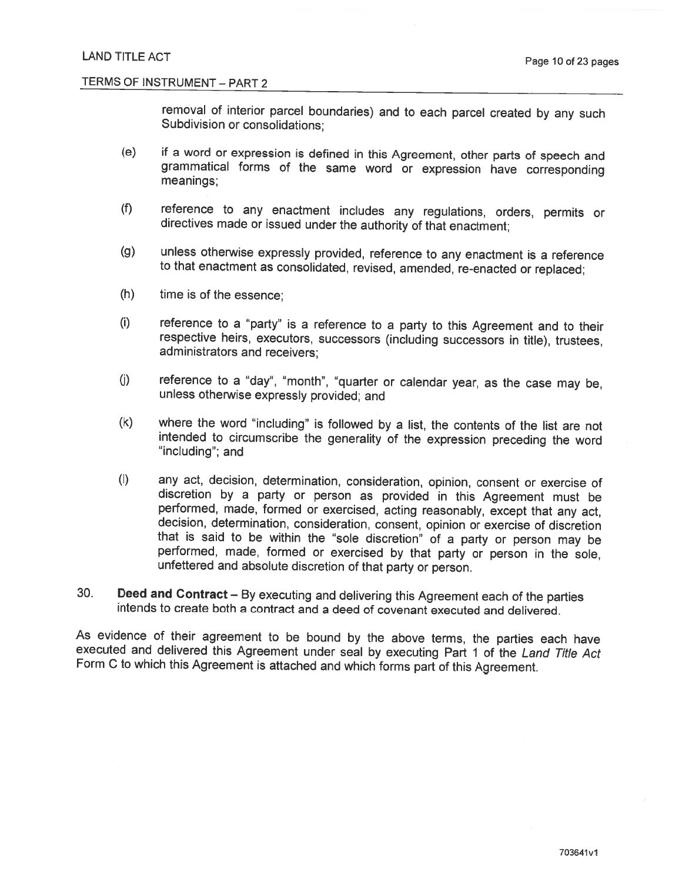removal of interior parcel boundaries) and to each parcel created by any such Subdivision or consolidations:

- $(e)$ if a word or expression is defined in this Agreement, other parts of speech and grammatical forms of the same word or expression have corresponding meanings:
- $(f)$ reference to any enactment includes any regulations, orders, permits or directives made or issued under the authority of that enactment;
- $(g)$ unless otherwise expressly provided, reference to any enactment is a reference to that enactment as consolidated, revised, amended, re-enacted or replaced;
- time is of the essence;  $(h)$
- $(i)$ reference to a "party" is a reference to a party to this Agreement and to their respective heirs, executors, successors (including successors in title), trustees, administrators and receivers;
- $(j)$ reference to a "day", "month", "quarter or calendar year, as the case may be, unless otherwise expressly provided; and
- $(k)$ where the word "including" is followed by a list, the contents of the list are not intended to circumscribe the generality of the expression preceding the word "including"; and
- $(I)$ any act, decision, determination, consideration, opinion, consent or exercise of discretion by a party or person as provided in this Agreement must be performed, made, formed or exercised, acting reasonably, except that any act. decision, determination, consideration, consent, opinion or exercise of discretion that is said to be within the "sole discretion" of a party or person may be performed, made, formed or exercised by that party or person in the sole, unfettered and absolute discretion of that party or person.
- 30. Deed and Contract - By executing and delivering this Agreement each of the parties intends to create both a contract and a deed of covenant executed and delivered.

As evidence of their agreement to be bound by the above terms, the parties each have executed and delivered this Agreement under seal by executing Part 1 of the Land Title Act Form C to which this Agreement is attached and which forms part of this Agreement.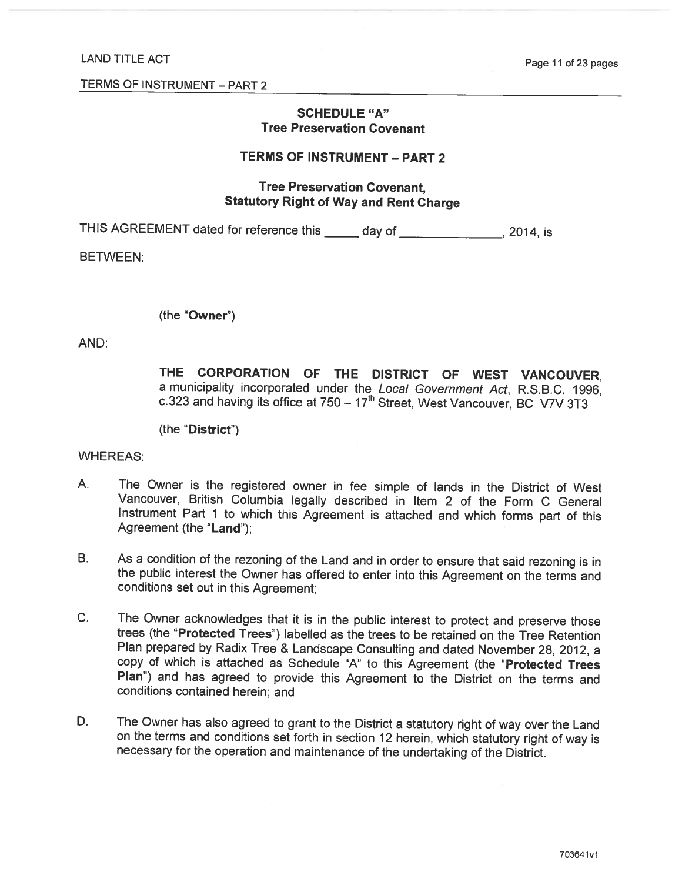# **SCHEDULE "A" Tree Preservation Covenant**

# **TERMS OF INSTRUMENT - PART 2**

# **Tree Preservation Covenant, Statutory Right of Way and Rent Charge**

THIS AGREEMENT dated for reference this \_\_\_\_\_ day of \_\_\_\_\_\_\_\_\_\_\_\_\_\_\_, 2014, is

**BETWEEN:** 

(the "Owner")

AND:

THE CORPORATION OF THE DISTRICT OF WEST VANCOUVER. a municipality incorporated under the Local Government Act, R.S.B.C. 1996, c.323 and having its office at 750 - 17<sup>th</sup> Street, West Vancouver, BC V7V 3T3

(the "District")

**WHEREAS:** 

- А. The Owner is the registered owner in fee simple of lands in the District of West Vancouver, British Columbia legally described in Item 2 of the Form C General Instrument Part 1 to which this Agreement is attached and which forms part of this Agreement (the "Land"):
- **B.** As a condition of the rezoning of the Land and in order to ensure that said rezoning is in the public interest the Owner has offered to enter into this Agreement on the terms and conditions set out in this Agreement;
- $C<sub>1</sub>$ The Owner acknowledges that it is in the public interest to protect and preserve those trees (the "Protected Trees") labelled as the trees to be retained on the Tree Retention Plan prepared by Radix Tree & Landscape Consulting and dated November 28, 2012, a copy of which is attached as Schedule "A" to this Agreement (the "Protected Trees Plan") and has agreed to provide this Agreement to the District on the terms and conditions contained herein; and
- D. The Owner has also agreed to grant to the District a statutory right of way over the Land on the terms and conditions set forth in section 12 herein, which statutory right of way is necessary for the operation and maintenance of the undertaking of the District.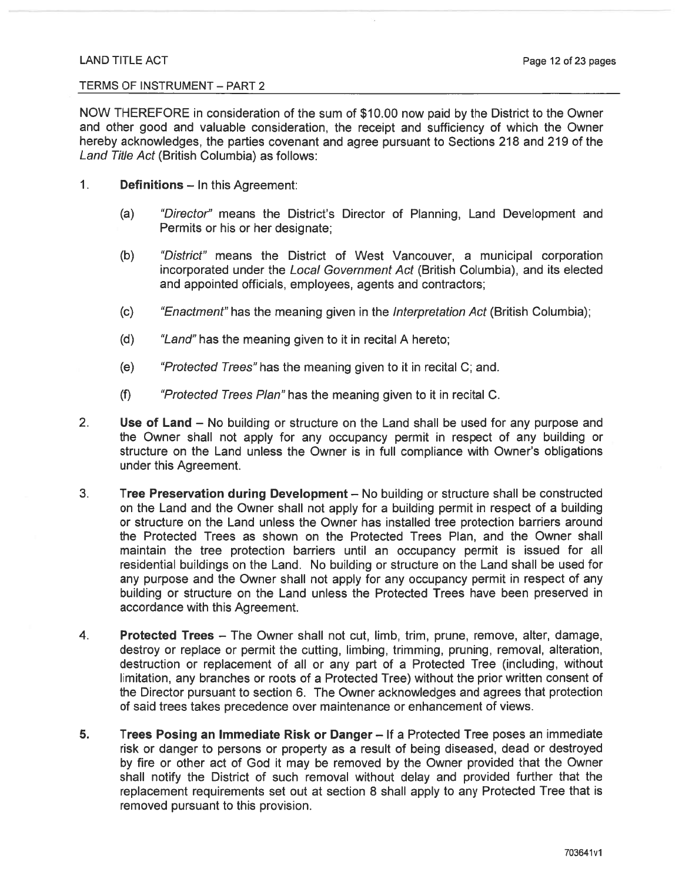# TERMS OF INSTRUMENT - PART 2

NOW THEREFORE in consideration of the sum of \$10.00 now paid by the District to the Owner and other good and valuable consideration, the receipt and sufficiency of which the Owner hereby acknowledges, the parties covenant and agree pursuant to Sections 218 and 219 of the Land Title Act (British Columbia) as follows:

- $1<sub>1</sub>$ **Definitions - In this Agreement:** 
	- $(a)$ "Director" means the District's Director of Planning, Land Development and Permits or his or her designate:
	- $(b)$ "District" means the District of West Vancouver, a municipal corporation incorporated under the Local Government Act (British Columbia), and its elected and appointed officials, employees, agents and contractors;
	- $(c)$ "Enactment" has the meaning given in the Interpretation Act (British Columbia);
	- "Land" has the meaning given to it in recital A hereto;  $(d)$
	- "Protected Trees" has the meaning given to it in recital C; and.  $(e)$
	- $(f)$ "Protected Trees Plan" has the meaning given to it in recital C.
- $2.$ Use of Land - No building or structure on the Land shall be used for any purpose and the Owner shall not apply for any occupancy permit in respect of any building or structure on the Land unless the Owner is in full compliance with Owner's obligations under this Agreement.
- $3<sub>1</sub>$ Tree Preservation during Development - No building or structure shall be constructed on the Land and the Owner shall not apply for a building permit in respect of a building or structure on the Land unless the Owner has installed tree protection barriers around the Protected Trees as shown on the Protected Trees Plan, and the Owner shall maintain the tree protection barriers until an occupancy permit is issued for all residential buildings on the Land. No building or structure on the Land shall be used for any purpose and the Owner shall not apply for any occupancy permit in respect of any building or structure on the Land unless the Protected Trees have been preserved in accordance with this Agreement.
- 4. **Protected Trees - The Owner shall not cut, limb, trim, prune, remove, alter, damage,** destroy or replace or permit the cutting, limbing, trimming, pruning, removal, alteration, destruction or replacement of all or any part of a Protected Tree (including, without limitation, any branches or roots of a Protected Tree) without the prior written consent of the Director pursuant to section 6. The Owner acknowledges and agrees that protection of said trees takes precedence over maintenance or enhancement of views.
- 5. Trees Posing an Immediate Risk or Danger - If a Protected Tree poses an immediate risk or danger to persons or property as a result of being diseased, dead or destroyed by fire or other act of God it may be removed by the Owner provided that the Owner shall notify the District of such removal without delay and provided further that the replacement requirements set out at section 8 shall apply to any Protected Tree that is removed pursuant to this provision.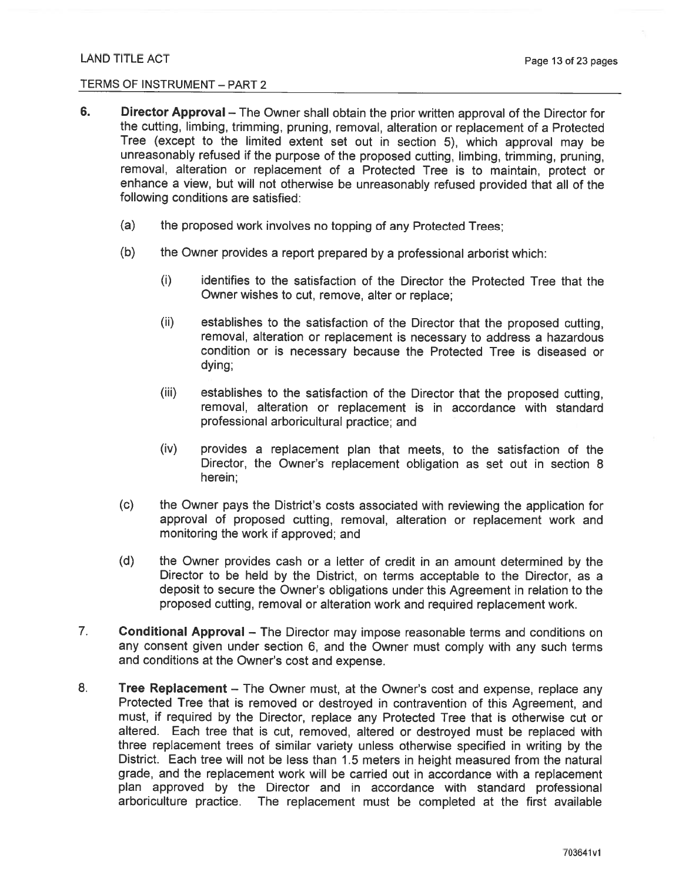- 6. Director Approval – The Owner shall obtain the prior written approval of the Director for the cutting, limbing, trimming, pruning, removal, alteration or replacement of a Protected Tree (except to the limited extent set out in section 5), which approval may be unreasonably refused if the purpose of the proposed cutting, limbing, trimming, pruning, removal, alteration or replacement of a Protected Tree is to maintain, protect or enhance a view, but will not otherwise be unreasonably refused provided that all of the following conditions are satisfied:
	- $(a)$ the proposed work involves no topping of any Protected Trees;
	- $(b)$ the Owner provides a report prepared by a professional arborist which:
		- identifies to the satisfaction of the Director the Protected Tree that the  $(i)$ Owner wishes to cut, remove, alter or replace:
		- $(ii)$ establishes to the satisfaction of the Director that the proposed cutting. removal, alteration or replacement is necessary to address a hazardous condition or is necessary because the Protected Tree is diseased or dying;
		- $(iii)$ establishes to the satisfaction of the Director that the proposed cutting, removal, alteration or replacement is in accordance with standard professional arboricultural practice; and
		- $(iv)$ provides a replacement plan that meets, to the satisfaction of the Director, the Owner's replacement obligation as set out in section 8 herein:
	- $(c)$ the Owner pays the District's costs associated with reviewing the application for approval of proposed cutting, removal, alteration or replacement work and monitoring the work if approved; and
	- $(d)$ the Owner provides cash or a letter of credit in an amount determined by the Director to be held by the District, on terms acceptable to the Director, as a deposit to secure the Owner's obligations under this Agreement in relation to the proposed cutting, removal or alteration work and required replacement work.
- $7.$ Conditional Approval - The Director may impose reasonable terms and conditions on any consent given under section 6, and the Owner must comply with any such terms and conditions at the Owner's cost and expense.
- 8. Tree Replacement - The Owner must, at the Owner's cost and expense, replace any Protected Tree that is removed or destroyed in contravention of this Agreement, and must, if required by the Director, replace any Protected Tree that is otherwise cut or altered. Each tree that is cut, removed, altered or destroyed must be replaced with three replacement trees of similar variety unless otherwise specified in writing by the District. Each tree will not be less than 1.5 meters in height measured from the natural grade, and the replacement work will be carried out in accordance with a replacement plan approved by the Director and in accordance with standard professional arboriculture practice. The replacement must be completed at the first available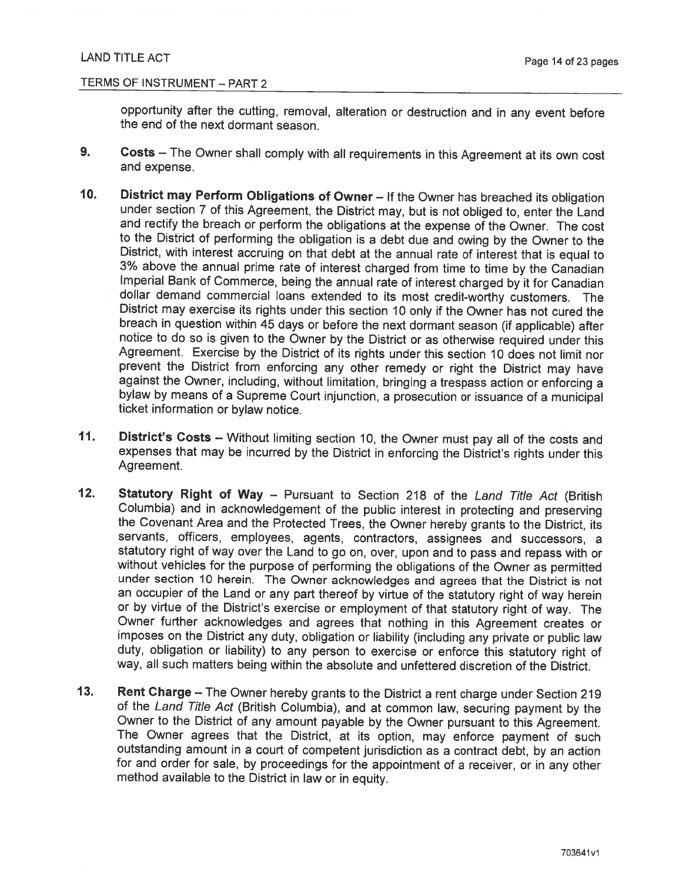# TERMS OF INSTRUMENT - PART 2

opportunity after the cutting, removal, alteration or destruction and in any event before the end of the next dormant season.

- 9. Costs - The Owner shall comply with all requirements in this Agreement at its own cost and expense.
- $10<sub>1</sub>$ District may Perform Obligations of Owner - If the Owner has breached its obligation under section 7 of this Agreement, the District may, but is not obliged to, enter the Land and rectify the breach or perform the obligations at the expense of the Owner. The cost to the District of performing the obligation is a debt due and owing by the Owner to the District, with interest accruing on that debt at the annual rate of interest that is equal to 3% above the annual prime rate of interest charged from time to time by the Canadian Imperial Bank of Commerce, being the annual rate of interest charged by it for Canadian dollar demand commercial loans extended to its most credit-worthy customers. The District may exercise its rights under this section 10 only if the Owner has not cured the breach in question within 45 days or before the next dormant season (if applicable) after notice to do so is given to the Owner by the District or as otherwise required under this Agreement. Exercise by the District of its rights under this section 10 does not limit nor prevent the District from enforcing any other remedy or right the District may have against the Owner, including, without limitation, bringing a trespass action or enforcing a bylaw by means of a Supreme Court injunction, a prosecution or issuance of a municipal ticket information or bylaw notice.
- $11.$ District's Costs - Without limiting section 10, the Owner must pay all of the costs and expenses that may be incurred by the District in enforcing the District's rights under this Agreement.
- $12.$ **Statutory Right of Way - Pursuant to Section 218 of the Land Title Act (British** Columbia) and in acknowledgement of the public interest in protecting and preserving the Covenant Area and the Protected Trees, the Owner hereby grants to the District, its servants, officers, employees, agents, contractors, assignees and successors, a statutory right of way over the Land to go on, over, upon and to pass and repass with or without vehicles for the purpose of performing the obligations of the Owner as permitted under section 10 herein. The Owner acknowledges and agrees that the District is not an occupier of the Land or any part thereof by virtue of the statutory right of way herein or by virtue of the District's exercise or employment of that statutory right of way. The Owner further acknowledges and agrees that nothing in this Agreement creates or imposes on the District any duty, obligation or liability (including any private or public law duty, obligation or liability) to any person to exercise or enforce this statutory right of way, all such matters being within the absolute and unfettered discretion of the District.
- $13.$ Rent Charge - The Owner hereby grants to the District a rent charge under Section 219 of the Land Title Act (British Columbia), and at common law, securing payment by the Owner to the District of any amount payable by the Owner pursuant to this Agreement. The Owner agrees that the District, at its option, may enforce payment of such outstanding amount in a court of competent jurisdiction as a contract debt, by an action for and order for sale, by proceedings for the appointment of a receiver, or in any other method available to the District in law or in equity.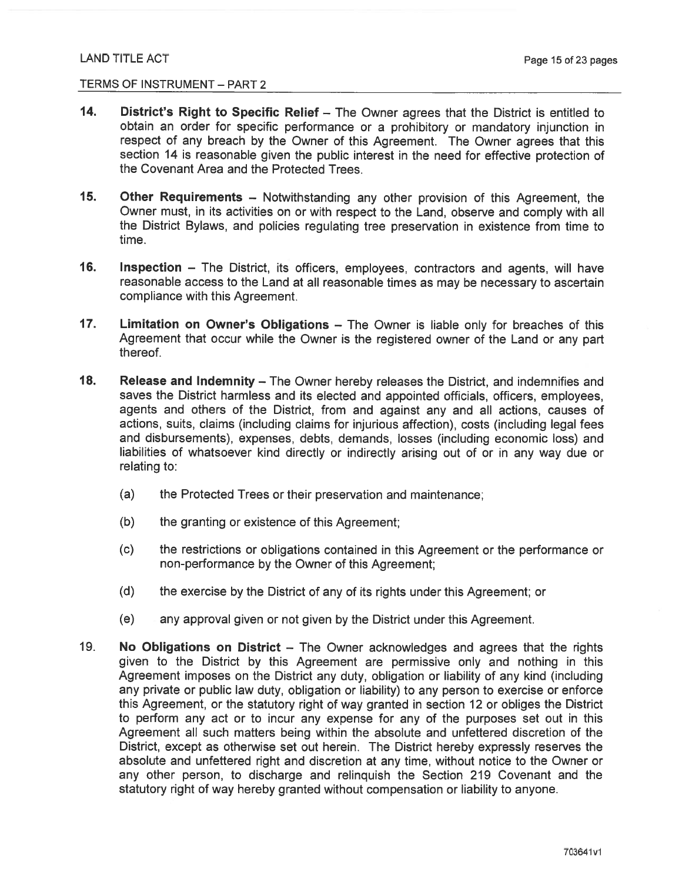- $14.$ District's Right to Specific Relief – The Owner agrees that the District is entitled to obtain an order for specific performance or a prohibitory or mandatory injunction in respect of any breach by the Owner of this Agreement. The Owner agrees that this section 14 is reasonable given the public interest in the need for effective protection of the Covenant Area and the Protected Trees
- $15.$ **Other Requirements** – Notwithstanding any other provision of this Agreement, the Owner must, in its activities on or with respect to the Land, observe and comply with all the District Bylaws, and policies regulating tree preservation in existence from time to time.
- $16.$ Inspection - The District, its officers, employees, contractors and agents, will have reasonable access to the Land at all reasonable times as may be necessary to ascertain compliance with this Agreement.
- $17.$ Limitation on Owner's Obligations - The Owner is liable only for breaches of this Agreement that occur while the Owner is the registered owner of the Land or any part thereof.
- 18. Release and Indemnity - The Owner hereby releases the District, and indemnifies and saves the District harmless and its elected and appointed officials, officers, employees, agents and others of the District, from and against any and all actions, causes of actions, suits, claims (including claims for injurious affection), costs (including legal fees and disbursements), expenses, debts, demands, losses (including economic loss) and liabilities of whatsoever kind directly or indirectly arising out of or in any way due or relating to:
	- $(a)$ the Protected Trees or their preservation and maintenance;
	- $(b)$ the granting or existence of this Agreement:
	- $(c)$ the restrictions or obligations contained in this Agreement or the performance or non-performance by the Owner of this Agreement;
	- $(d)$ the exercise by the District of any of its rights under this Agreement; or
	- $(e)$ any approval given or not given by the District under this Agreement.
- $19.$ No Obligations on District – The Owner acknowledges and agrees that the rights given to the District by this Agreement are permissive only and nothing in this Agreement imposes on the District any duty, obligation or liability of any kind (including any private or public law duty, obligation or liability) to any person to exercise or enforce this Agreement, or the statutory right of way granted in section 12 or obliges the District to perform any act or to incur any expense for any of the purposes set out in this Agreement all such matters being within the absolute and unfettered discretion of the District, except as otherwise set out herein. The District hereby expressly reserves the absolute and unfettered right and discretion at any time, without notice to the Owner or any other person, to discharge and relinguish the Section 219 Covenant and the statutory right of way hereby granted without compensation or liability to anyone.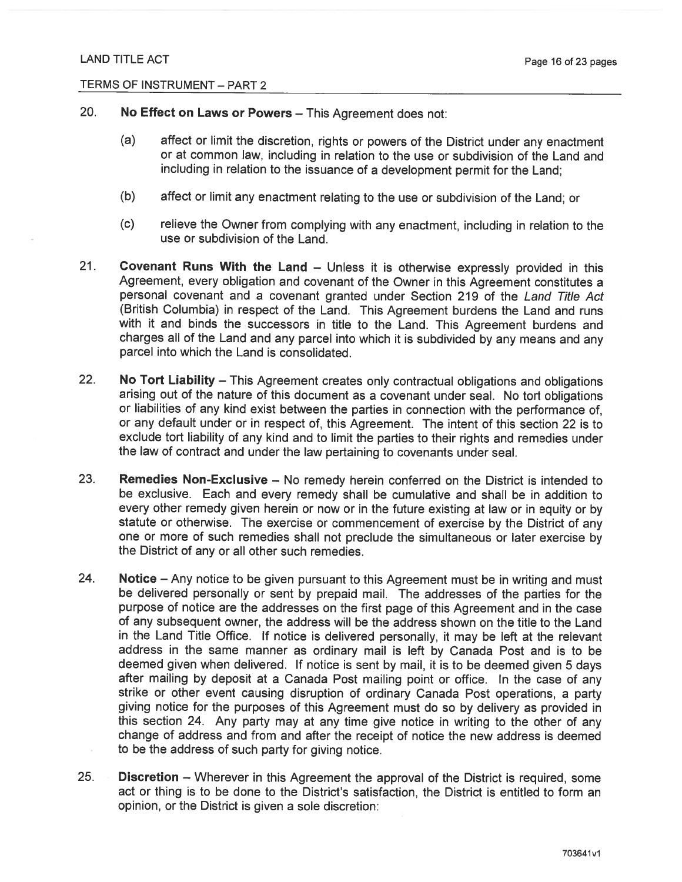- 20. No Effect on Laws or Powers - This Agreement does not:
	- $(a)$ affect or limit the discretion, rights or powers of the District under any enactment or at common law, including in relation to the use or subdivision of the Land and including in relation to the issuance of a development permit for the Land:
	- $(b)$ affect or limit any enactment relating to the use or subdivision of the Land: or
	- relieve the Owner from complying with any enactment, including in relation to the  $(c)$ use or subdivision of the Land
- $21.$ Covenant Runs With the Land - Unless it is otherwise expressly provided in this Agreement, every obligation and covenant of the Owner in this Agreement constitutes a personal covenant and a covenant granted under Section 219 of the Land Title Act (British Columbia) in respect of the Land. This Agreement burdens the Land and runs with it and binds the successors in title to the Land. This Agreement burdens and charges all of the Land and any parcel into which it is subdivided by any means and any parcel into which the Land is consolidated.
- $22.$ No Tort Liability - This Agreement creates only contractual obligations and obligations arising out of the nature of this document as a covenant under seal. No tort obligations or liabilities of any kind exist between the parties in connection with the performance of, or any default under or in respect of, this Agreement. The intent of this section 22 is to exclude tort liability of any kind and to limit the parties to their rights and remedies under the law of contract and under the law pertaining to covenants under seal.
- 23. **Remedies Non-Exclusive - No remedy herein conferred on the District is intended to** be exclusive. Each and every remedy shall be cumulative and shall be in addition to every other remedy given herein or now or in the future existing at law or in equity or by statute or otherwise. The exercise or commencement of exercise by the District of any one or more of such remedies shall not preclude the simultaneous or later exercise by the District of any or all other such remedies.
- 24. Notice - Any notice to be given pursuant to this Agreement must be in writing and must be delivered personally or sent by prepaid mail. The addresses of the parties for the purpose of notice are the addresses on the first page of this Agreement and in the case of any subsequent owner, the address will be the address shown on the title to the Land in the Land Title Office. If notice is delivered personally, it may be left at the relevant address in the same manner as ordinary mail is left by Canada Post and is to be deemed given when delivered. If notice is sent by mail, it is to be deemed given 5 days after mailing by deposit at a Canada Post mailing point or office. In the case of any strike or other event causing disruption of ordinary Canada Post operations, a party giving notice for the purposes of this Agreement must do so by delivery as provided in this section 24. Any party may at any time give notice in writing to the other of any change of address and from and after the receipt of notice the new address is deemed to be the address of such party for giving notice.
- $25.$ Discretion - Wherever in this Agreement the approval of the District is required, some act or thing is to be done to the District's satisfaction, the District is entitled to form an opinion, or the District is given a sole discretion: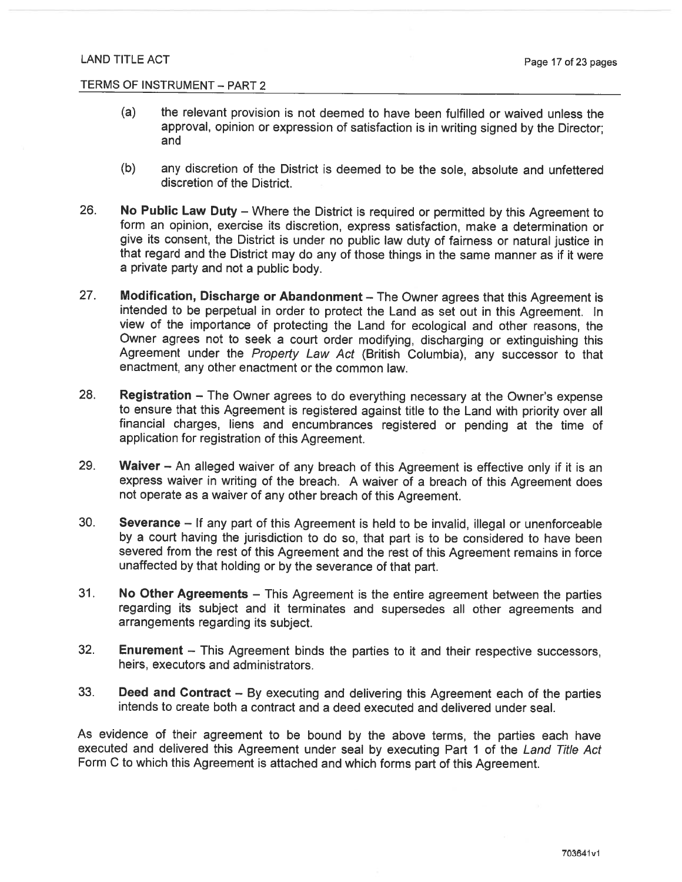- the relevant provision is not deemed to have been fulfilled or waived unless the  $(a)$ approval, opinion or expression of satisfaction is in writing signed by the Director: and
- any discretion of the District is deemed to be the sole, absolute and unfettered  $(b)$ discretion of the District
- 26. No Public Law Duty - Where the District is required or permitted by this Agreement to form an opinion, exercise its discretion, express satisfaction, make a determination or give its consent, the District is under no public law duty of fairness or natural justice in that regard and the District may do any of those things in the same manner as if it were a private party and not a public body.
- 27. Modification, Discharge or Abandonment - The Owner agrees that this Agreement is intended to be perpetual in order to protect the Land as set out in this Agreement. In view of the importance of protecting the Land for ecological and other reasons, the Owner agrees not to seek a court order modifying, discharging or extinguishing this Agreement under the Property Law Act (British Columbia), any successor to that enactment, any other enactment or the common law.
- 28. Registration - The Owner agrees to do everything necessary at the Owner's expense to ensure that this Agreement is registered against title to the Land with priority over all financial charges, liens and encumbrances registered or pending at the time of application for registration of this Agreement.
- 29. Waiver - An alleged waiver of any breach of this Agreement is effective only if it is an express waiver in writing of the breach. A waiver of a breach of this Agreement does not operate as a waiver of any other breach of this Agreement.
- $30.$ Severance - If any part of this Agreement is held to be invalid, illegal or unenforceable by a court having the jurisdiction to do so, that part is to be considered to have been severed from the rest of this Agreement and the rest of this Agreement remains in force unaffected by that holding or by the severance of that part.
- $31.$ No Other Agreements - This Agreement is the entire agreement between the parties regarding its subject and it terminates and supersedes all other agreements and arrangements regarding its subject.
- 32. **Enurement** – This Agreement binds the parties to it and their respective successors, heirs, executors and administrators.
- 33. **Deed and Contract** – By executing and delivering this Agreement each of the parties intends to create both a contract and a deed executed and delivered under seal.

As evidence of their agreement to be bound by the above terms, the parties each have executed and delivered this Agreement under seal by executing Part 1 of the Land Title Act Form C to which this Agreement is attached and which forms part of this Agreement.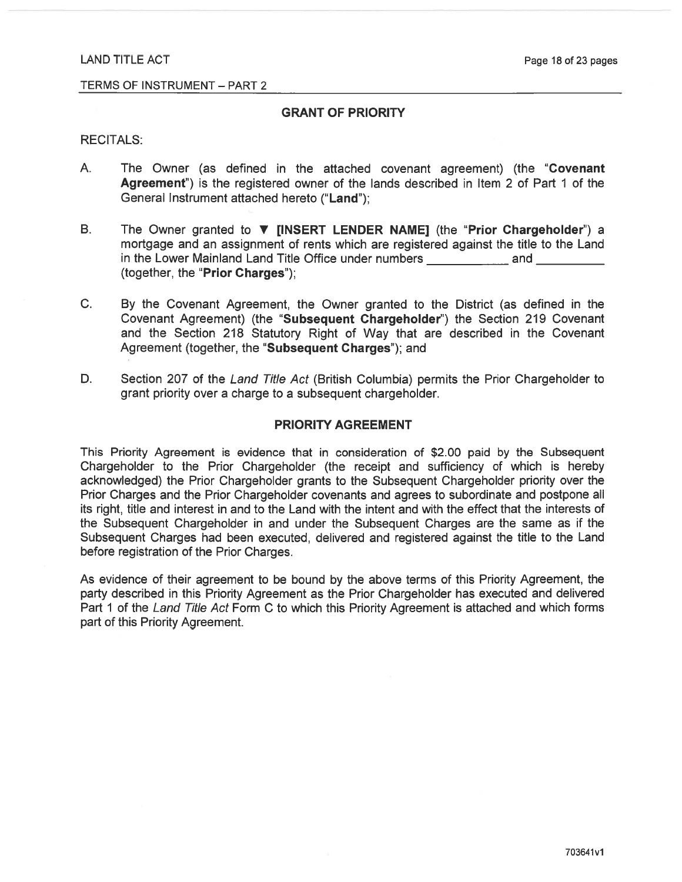#### TERMS OF INSTRUMENT - PART 2

# **GRANT OF PRIORITY**

#### **RECITALS:**

- $A_{\cdot}$ The Owner (as defined in the attached covenant agreement) (the "Covenant Agreement") is the registered owner of the lands described in Item 2 of Part 1 of the General Instrument attached hereto ("Land"):
- $B<sub>1</sub>$ The Owner granted to **V** [INSERT LENDER NAME] (the "Prior Chargeholder") a mortgage and an assignment of rents which are registered against the title to the Land (together, the "Prior Charges");
- C. By the Covenant Agreement, the Owner granted to the District (as defined in the Covenant Agreement) (the "Subsequent Chargeholder") the Section 219 Covenant and the Section 218 Statutory Right of Way that are described in the Covenant Agreement (together, the "Subsequent Charges"); and
- Section 207 of the Land Title Act (British Columbia) permits the Prior Chargeholder to D. grant priority over a charge to a subsequent chargeholder.

#### **PRIORITY AGREEMENT**

This Priority Agreement is evidence that in consideration of \$2.00 paid by the Subsequent Chargeholder to the Prior Chargeholder (the receipt and sufficiency of which is hereby acknowledged) the Prior Chargeholder grants to the Subsequent Chargeholder priority over the Prior Charges and the Prior Chargeholder covenants and agrees to subordinate and postpone all its right, title and interest in and to the Land with the intent and with the effect that the interests of the Subsequent Chargeholder in and under the Subsequent Charges are the same as if the Subsequent Charges had been executed, delivered and registered against the title to the Land before registration of the Prior Charges.

As evidence of their agreement to be bound by the above terms of this Priority Agreement, the party described in this Priority Agreement as the Prior Chargeholder has executed and delivered Part 1 of the Land Title Act Form C to which this Priority Agreement is attached and which forms part of this Priority Agreement.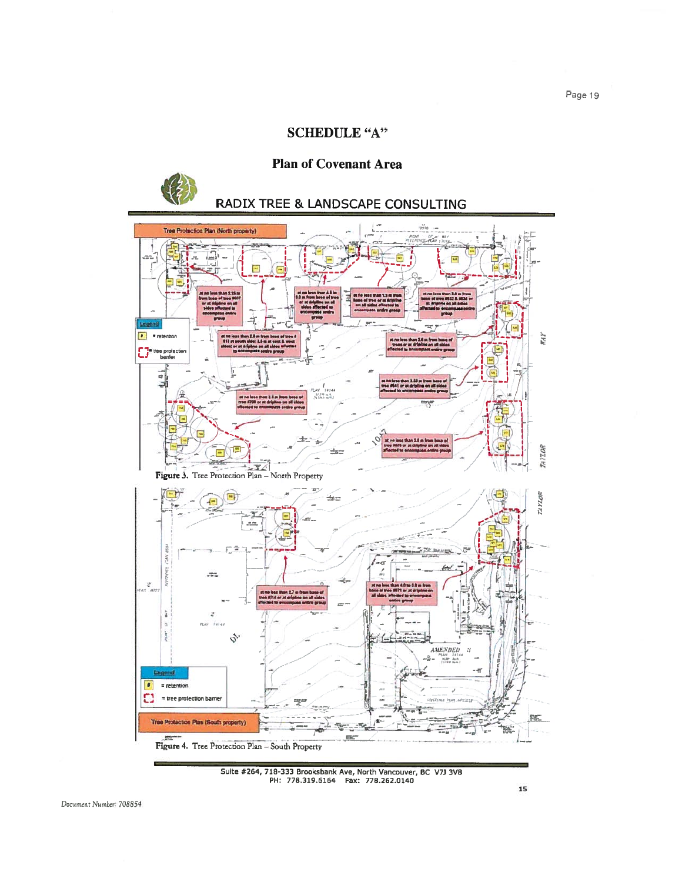# **SCHEDULE "A"**

# **Plan of Covenant Area**

# **RADIX TREE & LANDSCAPE CONSULTING**



Suite #264, 718-333 Brooksbank Ave, North Vancouver, BC V7J 3V8<br>PH: 778.319.6164 Fax: 778.262.0140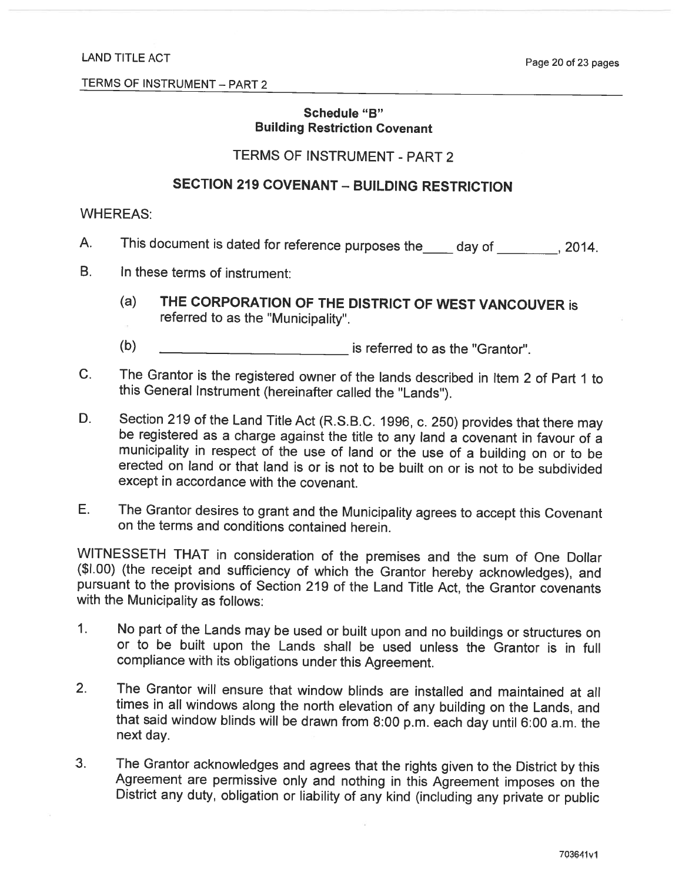# Schedule "B" **Building Restriction Covenant**

# TERMS OF INSTRUMENT - PART 2

# **SECTION 219 COVENANT - BUILDING RESTRICTION**

# **WHEREAS:**

- This document is dated for reference purposes the \_\_\_\_ day of \_\_\_\_\_\_\_\_, 2014. A.
- **B.** In these terms of instrument:
	- THE CORPORATION OF THE DISTRICT OF WEST VANCOUVER is  $(a)$ referred to as the "Municipality".
	- $(b)$ is referred to as the "Grantor".
- The Grantor is the registered owner of the lands described in Item 2 of Part 1 to  $C_{1}$ this General Instrument (hereinafter called the "Lands").
- D. Section 219 of the Land Title Act (R.S.B.C. 1996, c. 250) provides that there may be registered as a charge against the title to any land a covenant in favour of a municipality in respect of the use of land or the use of a building on or to be erected on land or that land is or is not to be built on or is not to be subdivided except in accordance with the covenant.
- Е. The Grantor desires to grant and the Municipality agrees to accept this Covenant on the terms and conditions contained herein.

WITNESSETH THAT in consideration of the premises and the sum of One Dollar (\$1.00) (the receipt and sufficiency of which the Grantor hereby acknowledges), and pursuant to the provisions of Section 219 of the Land Title Act, the Grantor covenants with the Municipality as follows:

- No part of the Lands may be used or built upon and no buildings or structures on  $\mathbf{1}$ . or to be built upon the Lands shall be used unless the Grantor is in full compliance with its obligations under this Agreement.
- $2.$ The Grantor will ensure that window blinds are installed and maintained at all times in all windows along the north elevation of any building on the Lands, and that said window blinds will be drawn from 8:00 p.m. each day until 6:00 a.m. the next day.
- The Grantor acknowledges and agrees that the rights given to the District by this  $3.$ Agreement are permissive only and nothing in this Agreement imposes on the District any duty, obligation or liability of any kind (including any private or public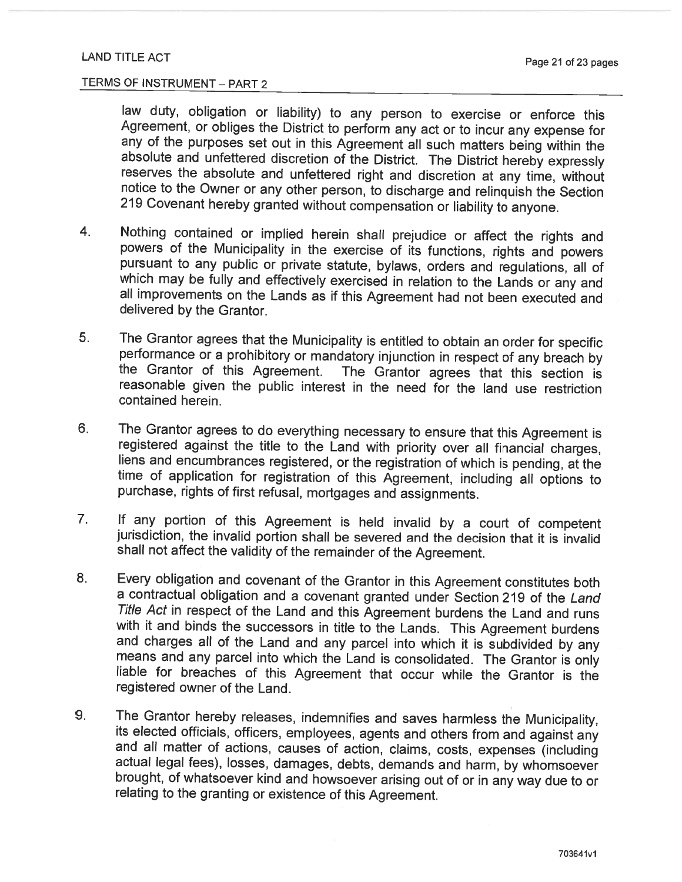law duty, obligation or liability) to any person to exercise or enforce this Agreement, or obliges the District to perform any act or to incur any expense for any of the purposes set out in this Agreement all such matters being within the absolute and unfettered discretion of the District. The District hereby expressly reserves the absolute and unfettered right and discretion at any time, without notice to the Owner or any other person, to discharge and relinquish the Section 219 Covenant hereby granted without compensation or liability to anyone.

- Nothing contained or implied herein shall prejudice or affect the rights and  $4.$ powers of the Municipality in the exercise of its functions, rights and powers pursuant to any public or private statute, bylaws, orders and regulations, all of which may be fully and effectively exercised in relation to the Lands or any and all improvements on the Lands as if this Agreement had not been executed and delivered by the Grantor.
- 5. The Grantor agrees that the Municipality is entitled to obtain an order for specific performance or a prohibitory or mandatory injunction in respect of any breach by the Grantor of this Agreement. The Grantor agrees that this section is reasonable given the public interest in the need for the land use restriction contained herein.
- The Grantor agrees to do everything necessary to ensure that this Agreement is 6. registered against the title to the Land with priority over all financial charges, liens and encumbrances registered, or the registration of which is pending, at the time of application for registration of this Agreement, including all options to purchase, rights of first refusal, mortgages and assignments.
- If any portion of this Agreement is held invalid by a court of competent  $7<sub>1</sub>$ jurisdiction, the invalid portion shall be severed and the decision that it is invalid shall not affect the validity of the remainder of the Agreement.
- Every obligation and covenant of the Grantor in this Agreement constitutes both 8. a contractual obligation and a covenant granted under Section 219 of the Land Title Act in respect of the Land and this Agreement burdens the Land and runs with it and binds the successors in title to the Lands. This Agreement burdens and charges all of the Land and any parcel into which it is subdivided by any means and any parcel into which the Land is consolidated. The Grantor is only liable for breaches of this Agreement that occur while the Grantor is the registered owner of the Land.
- 9. The Grantor hereby releases, indemnifies and saves harmless the Municipality, its elected officials, officers, employees, agents and others from and against any and all matter of actions, causes of action, claims, costs, expenses (including actual legal fees), losses, damages, debts, demands and harm, by whomsoever brought, of whatsoever kind and howsoever arising out of or in any way due to or relating to the granting or existence of this Agreement.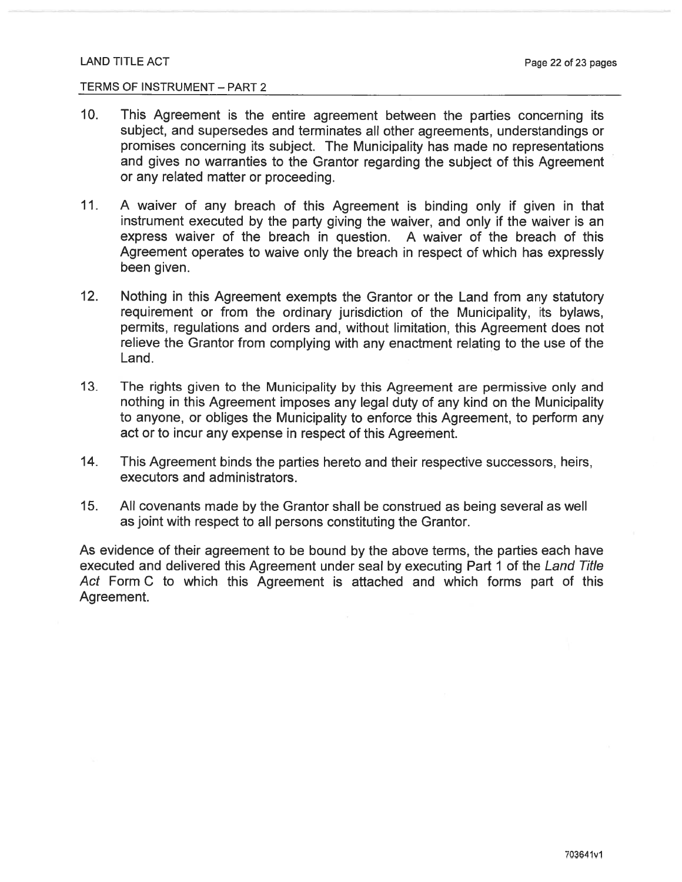#### TERMS OF INSTRUMENT - PART 2

- $10.$ This Agreement is the entire agreement between the parties concerning its subject, and supersedes and terminates all other agreements, understandings or promises concerning its subject. The Municipality has made no representations and gives no warranties to the Grantor regarding the subject of this Agreement or any related matter or proceeding.
- $11.$ A waiver of any breach of this Agreement is binding only if given in that instrument executed by the party giving the waiver, and only if the waiver is an express waiver of the breach in question. A waiver of the breach of this Agreement operates to waive only the breach in respect of which has expressly been given.
- $12.$ Nothing in this Agreement exempts the Grantor or the Land from any statutory requirement or from the ordinary jurisdiction of the Municipality, its bylaws, permits, regulations and orders and, without limitation, this Agreement does not relieve the Grantor from complying with any enactment relating to the use of the Land.
- $13.$ The rights given to the Municipality by this Agreement are permissive only and nothing in this Agreement imposes any legal duty of any kind on the Municipality to anyone, or obliges the Municipality to enforce this Agreement, to perform any act or to incur any expense in respect of this Agreement.
- $14.$ This Agreement binds the parties hereto and their respective successors, heirs, executors and administrators.
- $15.$ All covenants made by the Grantor shall be construed as being several as well as joint with respect to all persons constituting the Grantor.

As evidence of their agreement to be bound by the above terms, the parties each have executed and delivered this Agreement under seal by executing Part 1 of the Land Title Act Form C to which this Agreement is attached and which forms part of this Agreement.